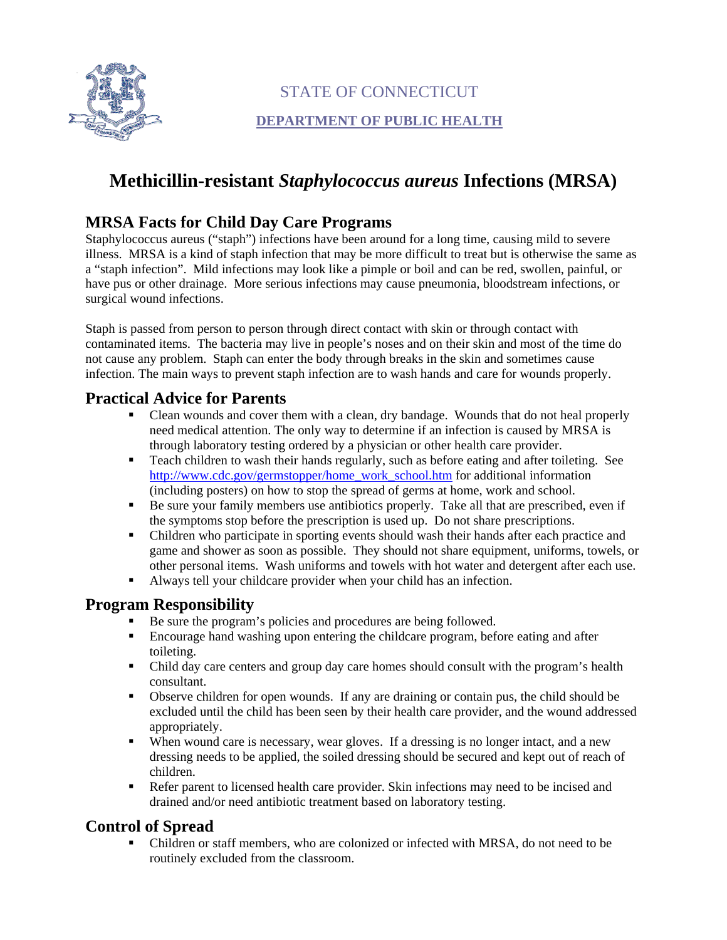

# STATE OF CONNECTICUT

### **DEPARTMENT OF PUBLIC HEALTH**

# **Methicillin-resistant** *Staphylococcus aureus* **Infections (MRSA)**

# **MRSA Facts for Child Day Care Programs**

Staphylococcus aureus ("staph") infections have been around for a long time, causing mild to severe illness. MRSA is a kind of staph infection that may be more difficult to treat but is otherwise the same as a "staph infection". Mild infections may look like a pimple or boil and can be red, swollen, painful, or have pus or other drainage. More serious infections may cause pneumonia, bloodstream infections, or surgical wound infections.

Staph is passed from person to person through direct contact with skin or through contact with contaminated items. The bacteria may live in people's noses and on their skin and most of the time do not cause any problem. Staph can enter the body through breaks in the skin and sometimes cause infection. The main ways to prevent staph infection are to wash hands and care for wounds properly.

### **Practical Advice for Parents**

- Clean wounds and cover them with a clean, dry bandage. Wounds that do not heal properly need medical attention. The only way to determine if an infection is caused by MRSA is through laboratory testing ordered by a physician or other health care provider.
- Teach children to wash their hands regularly, such as before eating and after toileting. See [http://www.cdc.gov/germstopper/home\\_work\\_school.htm](http://www.cdc.gov/germstopper/home_work_school.htm) for additional information (including posters) on how to stop the spread of germs at home, work and school.
- Be sure your family members use antibiotics properly. Take all that are prescribed, even if the symptoms stop before the prescription is used up. Do not share prescriptions.
- Children who participate in sporting events should wash their hands after each practice and game and shower as soon as possible. They should not share equipment, uniforms, towels, or other personal items. Wash uniforms and towels with hot water and detergent after each use.
- Always tell your childcare provider when your child has an infection.

#### **Program Responsibility**

- Be sure the program's policies and procedures are being followed.
- Encourage hand washing upon entering the childcare program, before eating and after toileting.
- Child day care centers and group day care homes should consult with the program's health consultant.
- Observe children for open wounds. If any are draining or contain pus, the child should be excluded until the child has been seen by their health care provider, and the wound addressed appropriately.
- When wound care is necessary, wear gloves. If a dressing is no longer intact, and a new dressing needs to be applied, the soiled dressing should be secured and kept out of reach of children.
- Refer parent to licensed health care provider. Skin infections may need to be incised and drained and/or need antibiotic treatment based on laboratory testing.

# **Control of Spread**

 Children or staff members, who are colonized or infected with MRSA, do not need to be routinely excluded from the classroom.